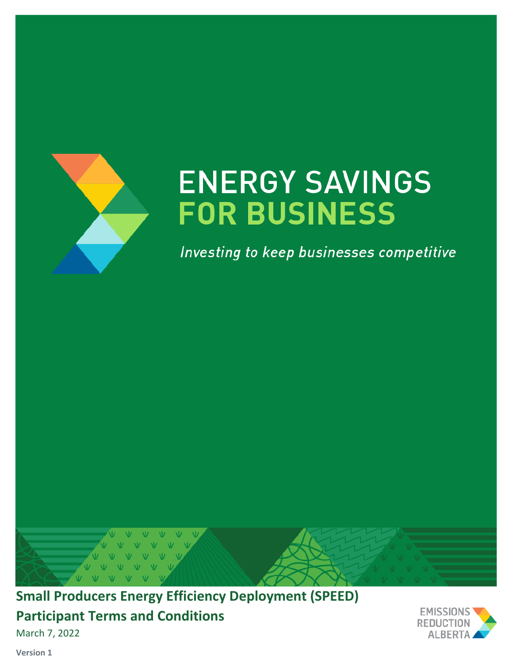

# **ENERGY SAVINGS FOR BUSINESS**

Investing to keep businesses competitive



# **Small Producers Energy Efficiency Deployment (SPEED) Participant Terms and Conditions**

March 7, 2022



**Version 1**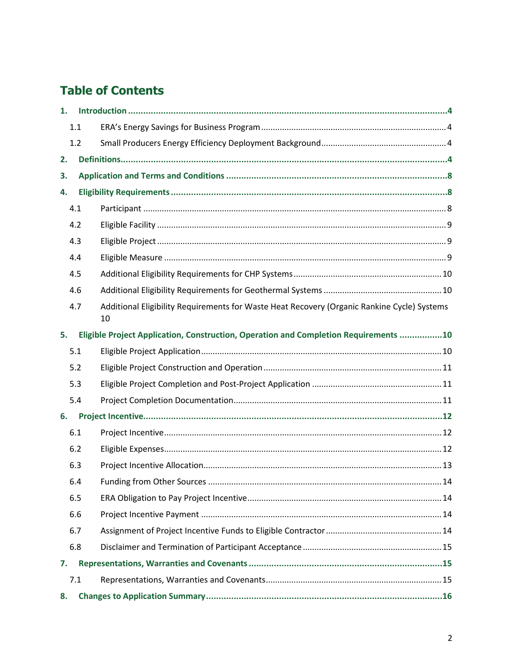# **Table of Contents**

| 1.  |                                                                                                   |  |  |  |  |
|-----|---------------------------------------------------------------------------------------------------|--|--|--|--|
| 1.1 |                                                                                                   |  |  |  |  |
| 1.2 |                                                                                                   |  |  |  |  |
| 2.  |                                                                                                   |  |  |  |  |
| 3.  |                                                                                                   |  |  |  |  |
| 4.  |                                                                                                   |  |  |  |  |
| 4.1 |                                                                                                   |  |  |  |  |
| 4.2 |                                                                                                   |  |  |  |  |
| 4.3 |                                                                                                   |  |  |  |  |
| 4.4 |                                                                                                   |  |  |  |  |
| 4.5 |                                                                                                   |  |  |  |  |
| 4.6 |                                                                                                   |  |  |  |  |
| 4.7 | Additional Eligibility Requirements for Waste Heat Recovery (Organic Rankine Cycle) Systems<br>10 |  |  |  |  |
| 5.  | Eligible Project Application, Construction, Operation and Completion Requirements 10              |  |  |  |  |
| 5.1 |                                                                                                   |  |  |  |  |
| 5.2 |                                                                                                   |  |  |  |  |
| 5.3 |                                                                                                   |  |  |  |  |
| 5.4 |                                                                                                   |  |  |  |  |
| 6.  |                                                                                                   |  |  |  |  |
| 6.1 |                                                                                                   |  |  |  |  |
| 6.2 |                                                                                                   |  |  |  |  |
| 6.3 |                                                                                                   |  |  |  |  |
| 6.4 |                                                                                                   |  |  |  |  |
| 6.5 |                                                                                                   |  |  |  |  |
| 6.6 |                                                                                                   |  |  |  |  |
| 6.7 |                                                                                                   |  |  |  |  |
| 6.8 |                                                                                                   |  |  |  |  |
| 7.  |                                                                                                   |  |  |  |  |
| 7.1 |                                                                                                   |  |  |  |  |
| 8.  |                                                                                                   |  |  |  |  |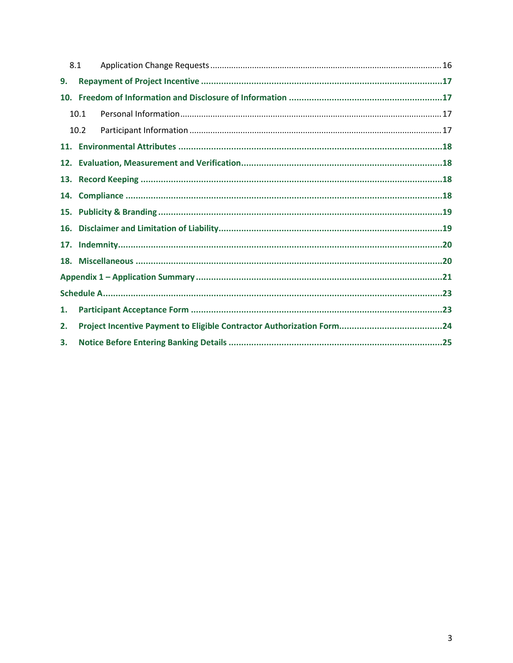|                 | 8.1  |  |  |  |  |  |
|-----------------|------|--|--|--|--|--|
| 9.              |      |  |  |  |  |  |
| 10 <sub>1</sub> |      |  |  |  |  |  |
|                 | 10.1 |  |  |  |  |  |
|                 | 10.2 |  |  |  |  |  |
|                 |      |  |  |  |  |  |
| 12.             |      |  |  |  |  |  |
| 13.             |      |  |  |  |  |  |
| 14.             |      |  |  |  |  |  |
| 15.             |      |  |  |  |  |  |
| 16.             |      |  |  |  |  |  |
| 17.             |      |  |  |  |  |  |
|                 |      |  |  |  |  |  |
|                 |      |  |  |  |  |  |
|                 |      |  |  |  |  |  |
| 1.              |      |  |  |  |  |  |
| 2.              |      |  |  |  |  |  |
| 3.              |      |  |  |  |  |  |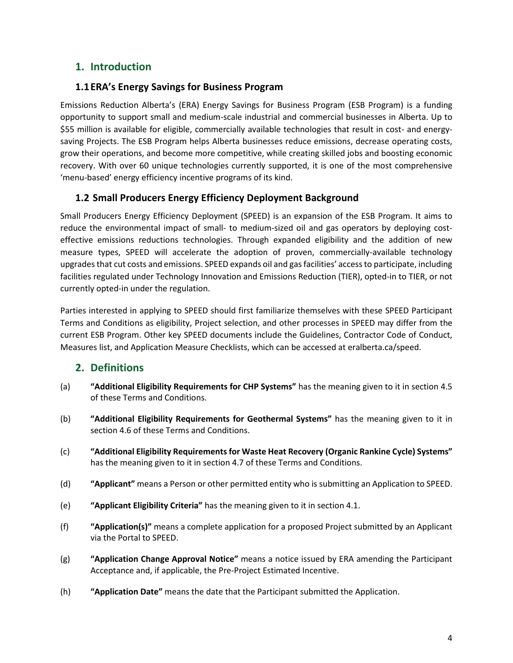# <span id="page-3-0"></span>**1. Introduction**

#### <span id="page-3-1"></span>**1.1ERA's Energy Savings for Business Program**

Emissions Reduction Alberta's (ERA) Energy Savings for Business Program (ESB Program) is a funding opportunity to support small and medium-scale industrial and commercial businesses in Alberta. Up to \$55 million is available for eligible, commercially available technologies that result in cost- and energysaving Projects. The ESB Program helps Alberta businesses reduce emissions, decrease operating costs, grow their operations, and become more competitive, while creating skilled jobs and boosting economic recovery. With over 60 unique technologies currently supported, it is one of the most comprehensive 'menu-based' energy efficiency incentive programs of its kind.

#### <span id="page-3-2"></span>**1.2 Small Producers Energy Efficiency Deployment Background**

Small Producers Energy Efficiency Deployment (SPEED) is an expansion of the ESB Program. It aims to reduce the environmental impact of small- to medium-sized oil and gas operators by deploying costeffective emissions reductions technologies. Through expanded eligibility and the addition of new measure types, SPEED will accelerate the adoption of proven, commercially-available technology upgrades that cut costs and emissions. SPEED expands oil and gas facilities' access to participate, including facilities regulated under Technology Innovation and Emissions Reduction (TIER), opted-in to TIER, or not currently opted-in under the regulation.

Parties interested in applying to SPEED should first familiarize themselves with these SPEED Participant Terms and Conditions as eligibility, Project selection, and other processes in SPEED may differ from the current ESB Program. Other key SPEED documents include the Guidelines, Contractor Code of Conduct, Measures list, and Application Measure Checklists, which can be accessed at eralberta.ca/speed.

#### <span id="page-3-3"></span>**2. Definitions**

- (a) **"Additional Eligibility Requirements for CHP Systems"** has the meaning given to it in section 4.5 of these Terms and Conditions.
- (b) **"Additional Eligibility Requirements for Geothermal Systems"** has the meaning given to it in section 4.6 of these Terms and Conditions.
- (c) **"Additional Eligibility Requirementsfor Waste Heat Recovery (Organic Rankine Cycle) Systems"** has the meaning given to it in section 4.7 of these Terms and Conditions.
- (d) **"Applicant"** means a Person or other permitted entity who is submitting an Application to SPEED.
- (e) **"Applicant Eligibility Criteria"** has the meaning given to it in section 4.1.
- (f) **"Application(s)"** means a complete application for a proposed Project submitted by an Applicant via the Portal to SPEED.
- (g) **"Application Change Approval Notice"** means a notice issued by ERA amending the Participant Acceptance and, if applicable, the Pre-Project Estimated Incentive.
- (h) **"Application Date"** means the date that the Participant submitted the Application.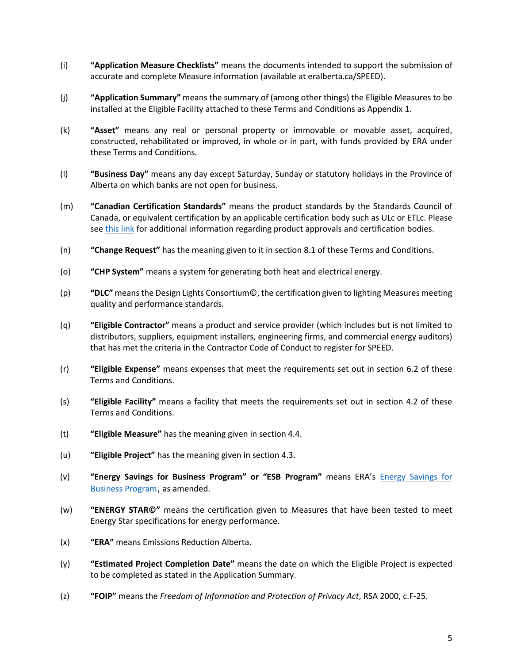- (i) **"Application Measure Checklists"** means the documents intended to support the submission of accurate and complete Measure information (available at [eralberta.ca/SPEED\)](http://eralberta.ca/energy-savings-for-business/).
- (j) **"Application Summary"** means the summary of (among other things) the Eligible Measures to be installed at the Eligible Facility attached to these Terms and Conditions as Appendix 1.
- (k) **"Asset"** means any real or personal property or immovable or movable asset, acquired, constructed, rehabilitated or improved, in whole or in part, with funds provided by ERA under these Terms and Conditions.
- (l) **"Business Day"** means any day except Saturday, Sunday or statutory holidays in the Province of Alberta on which banks are not open for business.
- (m) **"Canadian Certification Standards"** means the product standards by the Standards Council of Canada, or equivalent certification by an applicable certification body such as ULc or ETLc. Please see [this](https://open.alberta.ca/dataset/4d953ad0-bc89-41f1-aae4-6b92782ac601/resource/807d582d-4e44-4557-a7aa-0b00004c7957/download/330-leg-ecr-2-rev25.pdf) link for additional information regarding product approvals and certification bodies.
- (n) **"Change Request"** has the meaning given to it in section 8.1 of these Terms and Conditions.
- (o) **"CHP System"** means a system for generating both heat and electrical energy.
- (p) **"DLC"** meansthe Design Lights Consortium©, the certification given to lighting Measures meeting quality and performance standards.
- (q) **"Eligible Contractor"** means a product and service provider (which includes but is not limited to distributors, suppliers, equipment installers, engineering firms, and commercial energy auditors) that has met the criteria in the Contractor Code of Conduct to register for SPEED.
- (r) **"Eligible Expense"** means expenses that meet the requirements set out in section 6.2 of these Terms and Conditions.
- (s) **"Eligible Facility"** means a facility that meets the requirements set out in section 4.2 of these Terms and Conditions.
- (t) **"Eligible Measure"** has the meaning given in section 4.4.
- (u) **"Eligible Project"** has the meaning given in section 4.3.
- (v) **"Energy Savings for Business Program" or "ESB Program"** means ERA's Energy [Savings](https://eralberta.ca/energy-savings-for-business/expanded-technologies-pilot/) for [Business](https://eralberta.ca/energy-savings-for-business/expanded-technologies-pilot/) Program, as amended.
- (w) **"ENERGY STAR©"** means the certification given to Measures that have been tested to meet Energy Star specifications for energy performance.
- (x) **"ERA"** means Emissions Reduction Alberta.
- (y) **"Estimated Project Completion Date"** means the date on which the Eligible Project is expected to be completed as stated in the Application Summary.
- (z) **"FOIP"** means the *Freedom of Information and Protection of Privacy Act*, RSA 2000, c.F-25.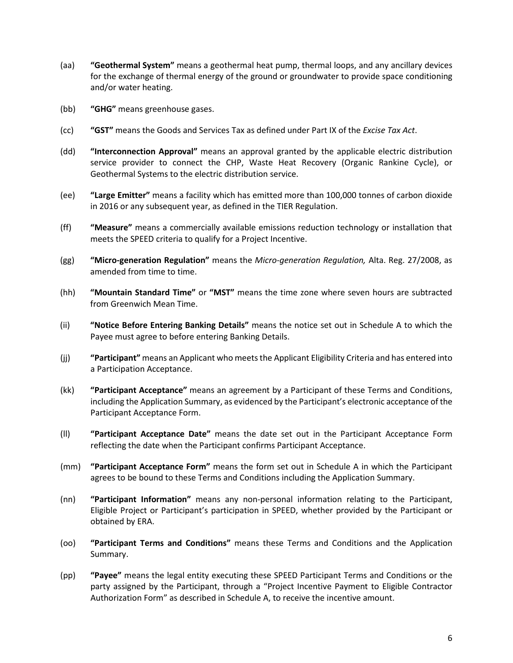- (aa) **"Geothermal System"** means a geothermal heat pump, thermal loops, and any ancillary devices for the exchange of thermal energy of the ground or groundwater to provide space conditioning and/or water heating.
- (bb) **"GHG"** means greenhouse gases.
- (cc) **"GST"** means the Goods and Services Tax as defined under Part IX of the *Excise Tax Act*.
- (dd) **"Interconnection Approval"** means an approval granted by the applicable electric distribution service provider to connect the CHP, Waste Heat Recovery (Organic Rankine Cycle), or Geothermal Systems to the electric distribution service.
- (ee) **"Large Emitter"** means a facility which has emitted more than 100,000 tonnes of carbon dioxide in 2016 or any subsequent year, as defined in the TIER Regulation.
- (ff) **"Measure"** means a commercially available emissions reduction technology or installation that meets the SPEED criteria to qualify for a Project Incentive.
- (gg) **"Micro-generation Regulation"** means the *Micro-generation Regulation,* Alta. Reg. 27/2008, as amended from time to time.
- (hh) **"Mountain Standard Time"** or **"MST"** means the time zone where seven hours are subtracted from Greenwich Mean Time.
- (ii) **"Notice Before Entering Banking Details"** means the notice set out in Schedule A to which the Payee must agree to before entering Banking Details.
- (jj) **"Participant"** means an Applicant who meets the Applicant Eligibility Criteria and has entered into a Participation Acceptance.
- (kk) **"Participant Acceptance"** means an agreement by a Participant of these Terms and Conditions, including the Application Summary, as evidenced by the Participant's electronic acceptance of the Participant Acceptance Form.
- (ll) **"Participant Acceptance Date"** means the date set out in the Participant Acceptance Form reflecting the date when the Participant confirms Participant Acceptance.
- (mm) **"Participant Acceptance Form"** means the form set out in Schedule A in which the Participant agrees to be bound to these Terms and Conditions including the Application Summary.
- (nn) **"Participant Information"** means any non-personal information relating to the Participant, Eligible Project or Participant's participation in SPEED, whether provided by the Participant or obtained by ERA.
- (oo) **"Participant Terms and Conditions"** means these Terms and Conditions and the Application Summary.
- (pp) **"Payee"** means the legal entity executing these SPEED Participant Terms and Conditions or the party assigned by the Participant, through a "Project Incentive Payment to Eligible Contractor Authorization Form" as described in Schedule A, to receive the incentive amount.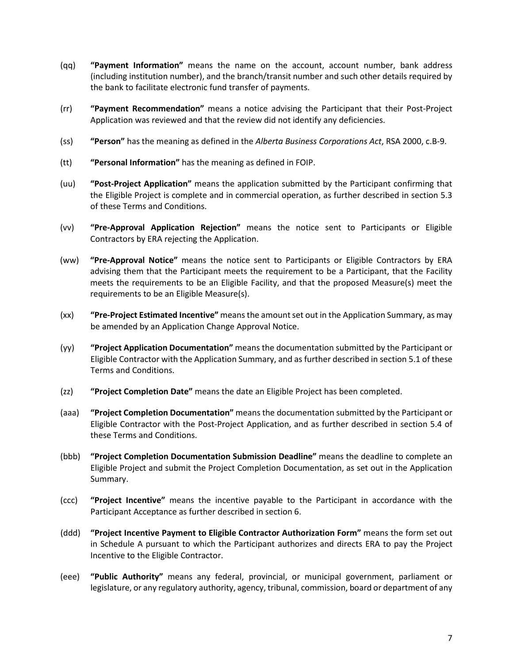- (qq) **"Payment Information"** means the name on the account, account number, bank address (including institution number), and the branch/transit number and such other details required by the bank to facilitate electronic fund transfer of payments.
- (rr) **"Payment Recommendation"** means a notice advising the Participant that their Post-Project Application was reviewed and that the review did not identify any deficiencies.
- (ss) **"Person"** has the meaning as defined in the *Alberta Business Corporations Act*, RSA 2000, c.B-9.
- (tt) **"Personal Information"** has the meaning as defined in FOIP.
- (uu) **"Post-Project Application"** means the application submitted by the Participant confirming that the Eligible Project is complete and in commercial operation, as further described in section 5.3 of these Terms and Conditions.
- (vv) **"Pre-Approval Application Rejection"** means the notice sent to Participants or Eligible Contractors by ERA rejecting the Application.
- (ww) **"Pre-Approval Notice"** means the notice sent to Participants or Eligible Contractors by ERA advising them that the Participant meets the requirement to be a Participant, that the Facility meets the requirements to be an Eligible Facility, and that the proposed Measure(s) meet the requirements to be an Eligible Measure(s).
- (xx) **"Pre-Project Estimated Incentive"** meansthe amountset out in the Application Summary, as may be amended by an Application Change Approval Notice.
- (yy) **"Project Application Documentation"** means the documentation submitted by the Participant or Eligible Contractor with the Application Summary, and as further described in section 5.1 of these Terms and Conditions.
- (zz) **"Project Completion Date"** means the date an Eligible Project has been completed.
- (aaa) **"Project Completion Documentation"** means the documentation submitted by the Participant or Eligible Contractor with the Post-Project Application, and as further described in section 5.4 of these Terms and Conditions.
- (bbb) **"Project Completion Documentation Submission Deadline"** means the deadline to complete an Eligible Project and submit the Project Completion Documentation, as set out in the Application Summary.
- (ccc) **"Project Incentive"** means the incentive payable to the Participant in accordance with the Participant Acceptance as further described in section 6.
- (ddd) **"Project Incentive Payment to Eligible Contractor Authorization Form"** means the form set out in Schedule A pursuant to which the Participant authorizes and directs ERA to pay the Project Incentive to the Eligible Contractor.
- (eee) **"Public Authority"** means any federal, provincial, or municipal government, parliament or legislature, or any regulatory authority, agency, tribunal, commission, board or department of any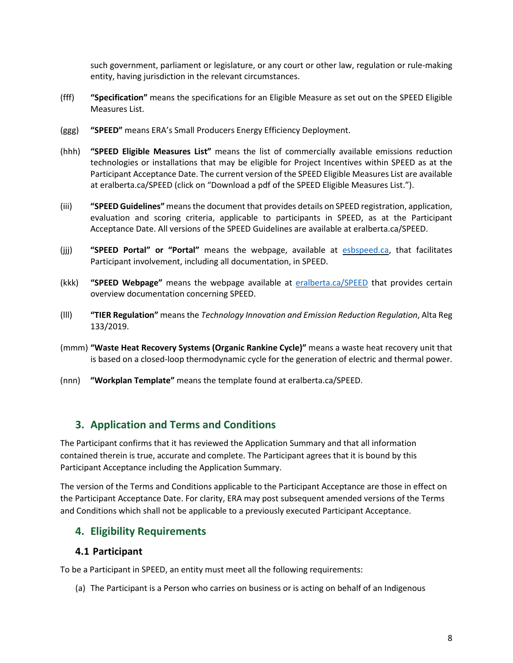such government, parliament or legislature, or any court or other law, regulation or rule-making entity, having jurisdiction in the relevant circumstances.

- (fff) **"Specification"** means the specifications for an Eligible Measure as set out on the SPEED Eligible Measures List.
- (ggg) **"SPEED"** means ERA's Small Producers Energy Efficiency Deployment.
- (hhh) **"SPEED Eligible Measures List"** means the list of commercially available emissions reduction technologies or installations that may be eligible for Project Incentives within SPEED as at the Participant Acceptance Date. The current version of the SPEED Eligible Measures List are available at [eralberta.ca/SPEED](http://eralberta.ca/energy-savings-for-business/) (click on "Download a pdf of the SPEED Eligible Measures List.").
- (iii) **"SPEED Guidelines"** meansthe document that provides details on SPEED registration, application, evaluation and scoring criteria, applicable to participants in SPEED, as at the Participant Acceptance Date. All versions of the SPEED Guidelines are available at [eralberta.ca/SPEED.](http://eralberta.ca/energy-savings-for-business/)
- (jjj) **"SPEED Portal" or "Portal"** means the webpage, available at [esbspeed.ca,](http://www.esbspeed.ca/) that facilitates Participant involvement, including all documentation, in SPEED.
- (kkk) **"SPEED Webpage"** means the webpage available at [eralberta.ca/SPEED](https://eralberta.ca/energy-savings-for-business/speed/) that provides certain overview documentation concerning SPEED.
- (lll) **"TIER Regulation"** means the *Technology Innovation and Emission Reduction Regulation*, Alta Reg 133/2019.
- (mmm) **"Waste Heat Recovery Systems (Organic Rankine Cycle)"** means a waste heat recovery unit that is based on a closed-loop thermodynamic cycle for the generation of electric and thermal power.
- (nnn) **"Workplan Template"** means the template found at [eralberta.ca/SPEED.](https://eralberta.ca/esb)

#### <span id="page-7-0"></span>**3. Application and Terms and Conditions**

The Participant confirms that it has reviewed the Application Summary and that all information contained therein is true, accurate and complete. The Participant agrees that it is bound by this Participant Acceptance including the Application Summary.

The version of the Terms and Conditions applicable to the Participant Acceptance are those in effect on the Participant Acceptance Date. For clarity, ERA may post subsequent amended versions of the Terms and Conditions which shall not be applicable to a previously executed Participant Acceptance.

#### <span id="page-7-1"></span>**4. Eligibility Requirements**

#### <span id="page-7-2"></span>**4.1 Participant**

To be a Participant in SPEED, an entity must meet all the following requirements:

(a) The Participant is a Person who carries on business or is acting on behalf of an Indigenous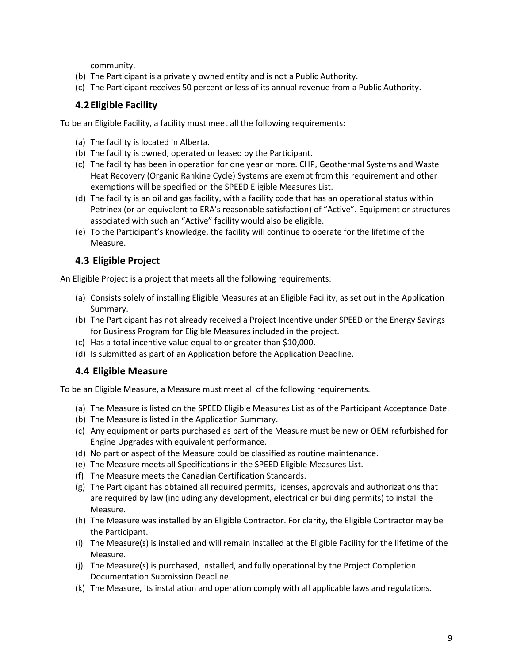community.

- (b) The Participant is a privately owned entity and is not a Public Authority.
- (c) The Participant receives 50 percent or less of its annual revenue from a Public Authority.

#### <span id="page-8-0"></span>**4.2Eligible Facility**

To be an Eligible Facility, a facility must meet all the following requirements:

- (a) The facility is located in Alberta.
- (b) The facility is owned, operated or leased by the Participant.
- (c) The facility has been in operation for one year or more. CHP, Geothermal Systems and Waste Heat Recovery (Organic Rankine Cycle) Systems are exempt from this requirement and other exemptions will be specified on the SPEED Eligible Measures List.
- (d) The facility is an oil and gas facility, with a facility code that has an operational status within Petrinex (or an equivalent to ERA's reasonable satisfaction) of "Active". Equipment or structures associated with such an "Active" facility would also be eligible.
- (e) To the Participant's knowledge, the facility will continue to operate for the lifetime of the Measure.

#### <span id="page-8-1"></span>**4.3 Eligible Project**

An Eligible Project is a project that meets all the following requirements:

- (a) Consists solely of installing Eligible Measures at an Eligible Facility, as set out in the Application Summary.
- (b) The Participant has not already received a Project Incentive under SPEED or the Energy Savings for Business Program for Eligible Measures included in the project.
- (c) Has a total incentive value equal to or greater than \$10,000.
- (d) Is submitted as part of an Application before the Application Deadline.

#### <span id="page-8-2"></span>**4.4 Eligible Measure**

To be an Eligible Measure, a Measure must meet all of the following requirements.

- (a) The Measure is listed on the SPEED Eligible Measures List as of the Participant Acceptance Date.
- (b) The Measure is listed in the Application Summary.
- (c) Any equipment or parts purchased as part of the Measure must be new or OEM refurbished for Engine Upgrades with equivalent performance.
- (d) No part or aspect of the Measure could be classified as routine maintenance.
- (e) The Measure meets all Specifications in the SPEED Eligible Measures List.
- (f) The Measure meets the Canadian Certification Standards.
- (g) The Participant has obtained all required permits, licenses, approvals and authorizations that are required by law (including any development, electrical or building permits) to install the Measure.
- (h) The Measure was installed by an Eligible Contractor. For clarity, the Eligible Contractor may be the Participant.
- (i) The Measure(s) is installed and will remain installed at the Eligible Facility for the lifetime of the Measure.
- (j) The Measure(s) is purchased, installed, and fully operational by the Project Completion Documentation Submission Deadline.
- (k) The Measure, its installation and operation comply with all applicable laws and regulations.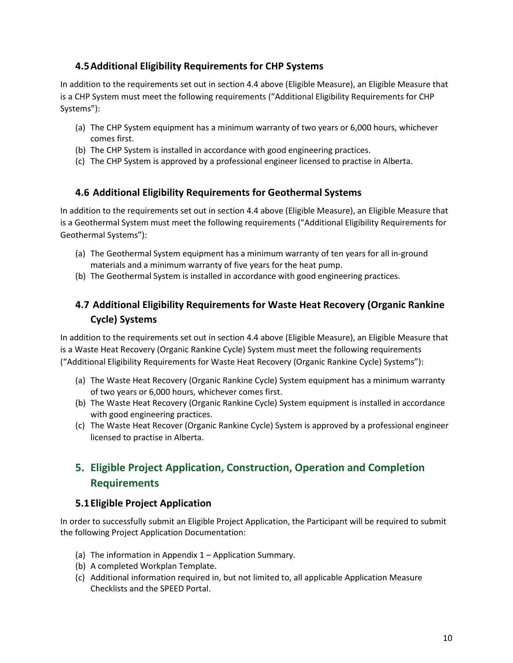#### <span id="page-9-0"></span>**4.5Additional Eligibility Requirements for CHP Systems**

In addition to the requirements set out in section 4.4 above (Eligible Measure), an Eligible Measure that is a CHP System must meet the following requirements ("Additional Eligibility Requirements for CHP Systems"):

- (a) The CHP System equipment has a minimum warranty of two years or 6,000 hours, whichever comes first.
- (b) The CHP System is installed in accordance with good engineering practices.
- (c) The CHP System is approved by a professional engineer licensed to practise in Alberta.

#### <span id="page-9-1"></span>**4.6 Additional Eligibility Requirements for Geothermal Systems**

In addition to the requirements set out in section 4.4 above (Eligible Measure), an Eligible Measure that is a Geothermal System must meet the following requirements ("Additional Eligibility Requirements for Geothermal Systems"):

- (a) The Geothermal System equipment has a minimum warranty of ten years for all in-ground materials and a minimum warranty of five years for the heat pump.
- (b) The Geothermal System is installed in accordance with good engineering practices.

# <span id="page-9-2"></span>**4.7 Additional Eligibility Requirements for Waste Heat Recovery (Organic Rankine Cycle) Systems**

In addition to the requirements set out in section 4.4 above (Eligible Measure), an Eligible Measure that is a Waste Heat Recovery (Organic Rankine Cycle) System must meet the following requirements ("Additional Eligibility Requirements for Waste Heat Recovery (Organic Rankine Cycle) Systems"):

- (a) The Waste Heat Recovery (Organic Rankine Cycle) System equipment has a minimum warranty of two years or 6,000 hours, whichever comes first.
- (b) The Waste Heat Recovery (Organic Rankine Cycle) System equipment is installed in accordance with good engineering practices.
- (c) The Waste Heat Recover (Organic Rankine Cycle) System is approved by a professional engineer licensed to practise in Alberta.

# <span id="page-9-3"></span>**5. Eligible Project Application, Construction, Operation and Completion Requirements**

#### <span id="page-9-4"></span>**5.1Eligible Project Application**

In order to successfully submit an Eligible Project Application, the Participant will be required to submit the following Project Application Documentation:

- (a) The information in Appendix 1 Application Summary.
- (b) A completed Workplan Template.
- (c) Additional information required in, but not limited to, all applicable Application Measure Checklists and the SPEED Portal.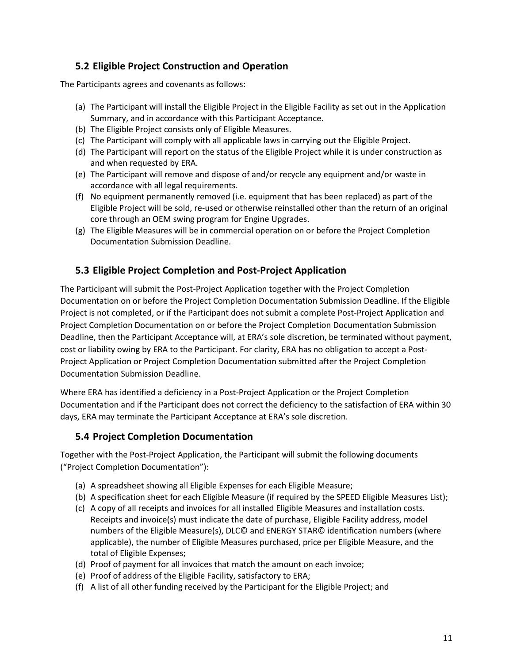#### <span id="page-10-0"></span>**5.2 Eligible Project Construction and Operation**

The Participants agrees and covenants as follows:

- (a) The Participant will install the Eligible Project in the Eligible Facility as set out in the Application Summary, and in accordance with this Participant Acceptance.
- (b) The Eligible Project consists only of Eligible Measures.
- (c) The Participant will comply with all applicable laws in carrying out the Eligible Project.
- (d) The Participant will report on the status of the Eligible Project while it is under construction as and when requested by ERA.
- (e) The Participant will remove and dispose of and/or recycle any equipment and/or waste in accordance with all legal requirements.
- (f) No equipment permanently removed (i.e. equipment that has been replaced) as part of the Eligible Project will be sold, re-used or otherwise reinstalled other than the return of an original core through an OEM swing program for Engine Upgrades.
- (g) The Eligible Measures will be in commercial operation on or before the Project Completion Documentation Submission Deadline.

#### <span id="page-10-1"></span>**5.3 Eligible Project Completion and Post-Project Application**

The Participant will submit the Post-Project Application together with the Project Completion Documentation on or before the Project Completion Documentation Submission Deadline. If the Eligible Project is not completed, or if the Participant does not submit a complete Post-Project Application and Project Completion Documentation on or before the Project Completion Documentation Submission Deadline, then the Participant Acceptance will, at ERA's sole discretion, be terminated without payment, cost or liability owing by ERA to the Participant. For clarity, ERA has no obligation to accept a Post-Project Application or Project Completion Documentation submitted after the Project Completion Documentation Submission Deadline.

Where ERA has identified a deficiency in a Post-Project Application or the Project Completion Documentation and if the Participant does not correct the deficiency to the satisfaction of ERA within 30 days, ERA may terminate the Participant Acceptance at ERA's sole discretion.

#### <span id="page-10-2"></span>**5.4 Project Completion Documentation**

Together with the Post-Project Application, the Participant will submit the following documents ("Project Completion Documentation"):

- (a) A spreadsheet showing all Eligible Expenses for each Eligible Measure;
- (b) A specification sheet for each Eligible Measure (if required by the SPEED Eligible Measures List);
- (c) A copy of all receipts and invoices for all installed Eligible Measures and installation costs. Receipts and invoice(s) must indicate the date of purchase, Eligible Facility address, model numbers of the Eligible Measure(s), DLC© and ENERGY STAR© identification numbers (where applicable), the number of Eligible Measures purchased, price per Eligible Measure, and the total of Eligible Expenses;
- (d) Proof of payment for all invoices that match the amount on each invoice;
- (e) Proof of address of the Eligible Facility, satisfactory to ERA;
- (f) A list of all other funding received by the Participant for the Eligible Project; and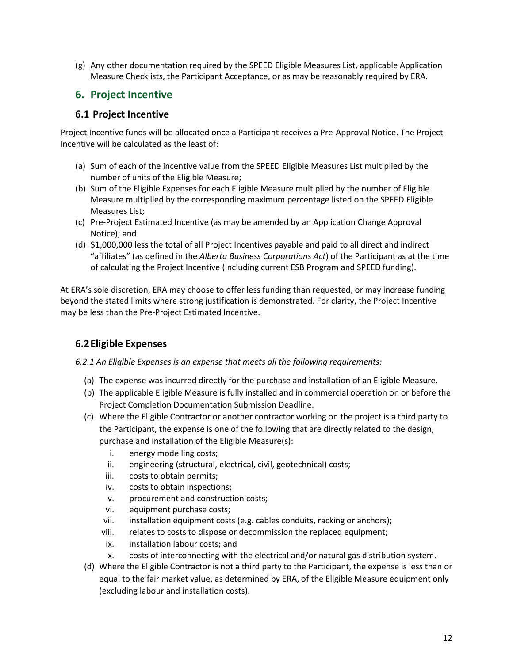(g) Any other documentation required by the SPEED Eligible Measures List, applicable Application Measure Checklists, the Participant Acceptance, or as may be reasonably required by ERA.

## <span id="page-11-0"></span>**6. Project Incentive**

#### <span id="page-11-1"></span>**6.1 Project Incentive**

Project Incentive funds will be allocated once a Participant receives a Pre-Approval Notice. The Project Incentive will be calculated as the least of:

- (a) Sum of each of the incentive value from the SPEED Eligible Measures List multiplied by the number of units of the Eligible Measure;
- (b) Sum of the Eligible Expenses for each Eligible Measure multiplied by the number of Eligible Measure multiplied by the corresponding maximum percentage listed on the SPEED Eligible Measures List;
- (c) Pre-Project Estimated Incentive (as may be amended by an Application Change Approval Notice); and
- (d) \$1,000,000 less the total of all Project Incentives payable and paid to all direct and indirect "affiliates" (as defined in the *Alberta Business Corporations Act*) of the Participant as at the time of calculating the Project Incentive (including current ESB Program and SPEED funding).

At ERA's sole discretion, ERA may choose to offer less funding than requested, or may increase funding beyond the stated limits where strong justification is demonstrated. For clarity, the Project Incentive may be less than the Pre-Project Estimated Incentive.

#### <span id="page-11-2"></span>**6.2Eligible Expenses**

*6.2.1 An Eligible Expenses is an expense that meets all the following requirements:*

- (a) The expense was incurred directly for the purchase and installation of an Eligible Measure.
- (b) The applicable Eligible Measure is fully installed and in commercial operation on or before the Project Completion Documentation Submission Deadline.
- (c) Where the Eligible Contractor or another contractor working on the project is a third party to the Participant, the expense is one of the following that are directly related to the design, purchase and installation of the Eligible Measure(s):
	- i. energy modelling costs;
	- ii. engineering (structural, electrical, civil, geotechnical) costs;
	- iii. costs to obtain permits;
	- iv. costs to obtain inspections;
	- v. procurement and construction costs;
	- vi. equipment purchase costs;
	- vii. installation equipment costs (e.g. cables conduits, racking or anchors);
	- viii. relates to costs to dispose or decommission the replaced equipment;
	- ix. installation labour costs; and
	- x. costs of interconnecting with the electrical and/or natural gas distribution system.
- (d) Where the Eligible Contractor is not a third party to the Participant, the expense is less than or equal to the fair market value, as determined by ERA, of the Eligible Measure equipment only (excluding labour and installation costs).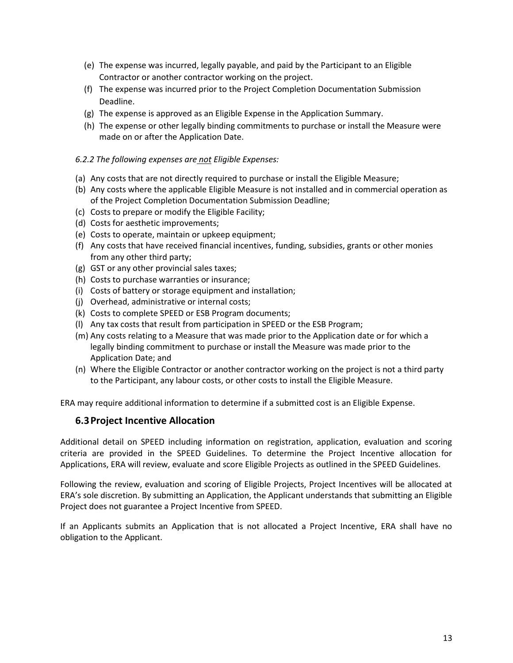- (e) The expense was incurred, legally payable, and paid by the Participant to an Eligible Contractor or another contractor working on the project.
- (f) The expense was incurred prior to the Project Completion Documentation Submission Deadline.
- (g) The expense is approved as an Eligible Expense in the Application Summary.
- (h) The expense or other legally binding commitments to purchase or install the Measure were made on or after the Application Date.

#### *6.2.2 The following expenses are not Eligible Expenses:*

- (a) Any costs that are not directly required to purchase or install the Eligible Measure;
- (b) Any costs where the applicable Eligible Measure is not installed and in commercial operation as of the Project Completion Documentation Submission Deadline;
- (c) Costs to prepare or modify the Eligible Facility;
- (d) Costs for aesthetic improvements;
- (e) Costs to operate, maintain or upkeep equipment;
- (f) Any costs that have received financial incentives, funding, subsidies, grants or other monies from any other third party;
- (g) GST or any other provincial sales taxes;
- (h) Costs to purchase warranties or insurance;
- (i) Costs of battery or storage equipment and installation;
- (j) Overhead, administrative or internal costs;
- (k) Costs to complete SPEED or ESB Program documents;
- (l) Any tax costs that result from participation in SPEED or the ESB Program;
- (m) Any costs relating to a Measure that was made prior to the Application date or for which a legally binding commitment to purchase or install the Measure was made prior to the Application Date; and
- (n) Where the Eligible Contractor or another contractor working on the project is not a third party to the Participant, any labour costs, or other costs to install the Eligible Measure.

<span id="page-12-0"></span>ERA may require additional information to determine if a submitted cost is an Eligible Expense.

#### **6.3Project Incentive Allocation**

Additional detail on SPEED including information on registration, application, evaluation and scoring criteria are provided in the SPEED Guidelines. To determine the Project Incentive allocation for Applications, ERA will review, evaluate and score Eligible Projects as outlined in the SPEED Guidelines.

Following the review, evaluation and scoring of Eligible Projects, Project Incentives will be allocated at ERA's sole discretion. By submitting an Application, the Applicant understands that submitting an Eligible Project does not guarantee a Project Incentive from SPEED.

If an Applicants submits an Application that is not allocated a Project Incentive, ERA shall have no obligation to the Applicant.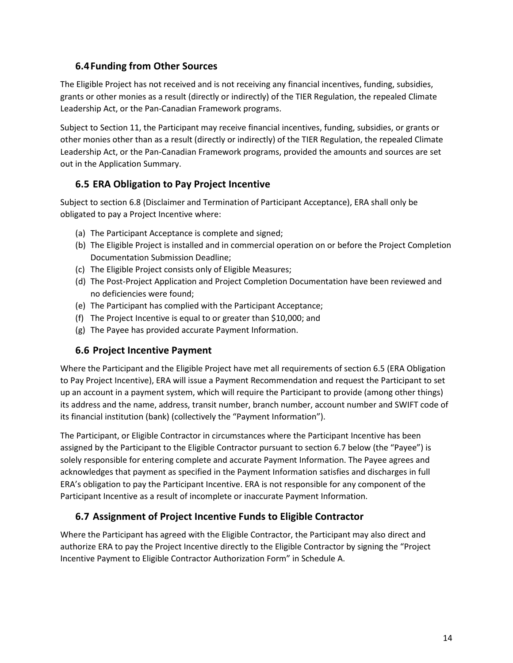#### <span id="page-13-0"></span>**6.4Funding from Other Sources**

The Eligible Project has not received and is not receiving any financial incentives, funding, subsidies, grants or other monies as a result (directly or indirectly) of the TIER Regulation, the repealed Climate Leadership Act, or the Pan-Canadian Framework programs.

Subject to Section 11, the Participant may receive financial incentives, funding, subsidies, or grants or other monies other than as a result (directly or indirectly) of the TIER Regulation, the repealed Climate Leadership Act, or the Pan-Canadian Framework programs, provided the amounts and sources are set out in the Application Summary.

#### <span id="page-13-1"></span>**6.5 ERA Obligation to Pay Project Incentive**

Subject to section 6.8 (Disclaimer and Termination of Participant Acceptance), ERA shall only be obligated to pay a Project Incentive where:

- (a) The Participant Acceptance is complete and signed;
- (b) The Eligible Project is installed and in commercial operation on or before the Project Completion Documentation Submission Deadline;
- (c) The Eligible Project consists only of Eligible Measures;
- (d) The Post-Project Application and Project Completion Documentation have been reviewed and no deficiencies were found;
- (e) The Participant has complied with the Participant Acceptance;
- (f) The Project Incentive is equal to or greater than \$10,000; and
- (g) The Payee has provided accurate Payment Information.

#### <span id="page-13-2"></span>**6.6 Project Incentive Payment**

Where the Participant and the Eligible Project have met all requirements of section 6.5 (ERA Obligation to Pay Project Incentive), ERA will issue a Payment Recommendation and request the Participant to set up an account in a payment system, which will require the Participant to provide (among other things) its address and the name, address, transit number, branch number, account number and SWIFT code of its financial institution (bank) (collectively the "Payment Information").

The Participant, or Eligible Contractor in circumstances where the Participant Incentive has been assigned by the Participant to the Eligible Contractor pursuant to section 6.7 below (the "Payee") is solely responsible for entering complete and accurate Payment Information. The Payee agrees and acknowledges that payment as specified in the Payment Information satisfies and discharges in full ERA's obligation to pay the Participant Incentive. ERA is not responsible for any component of the Participant Incentive as a result of incomplete or inaccurate Payment Information.

#### <span id="page-13-3"></span>**6.7 Assignment of Project Incentive Funds to Eligible Contractor**

Where the Participant has agreed with the Eligible Contractor, the Participant may also direct and authorize ERA to pay the Project Incentive directly to the Eligible Contractor by signing the "Project Incentive Payment to Eligible Contractor Authorization Form" in Schedule A.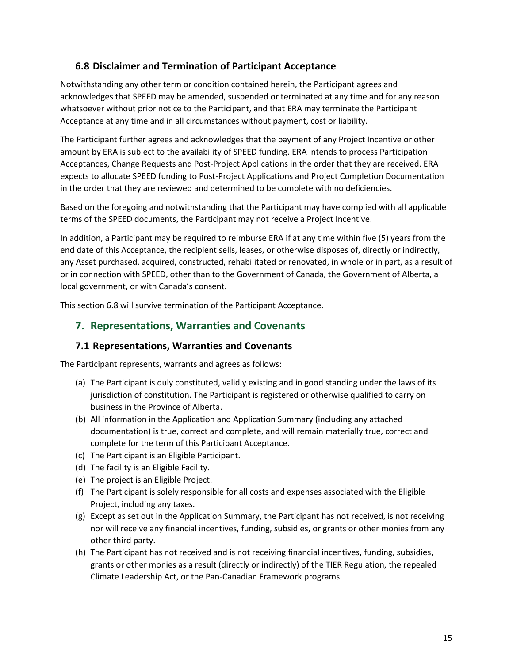#### <span id="page-14-0"></span>**6.8 Disclaimer and Termination of Participant Acceptance**

Notwithstanding any other term or condition contained herein, the Participant agrees and acknowledges that SPEED may be amended, suspended or terminated at any time and for any reason whatsoever without prior notice to the Participant, and that ERA may terminate the Participant Acceptance at any time and in all circumstances without payment, cost or liability.

The Participant further agrees and acknowledges that the payment of any Project Incentive or other amount by ERA is subject to the availability of SPEED funding. ERA intends to process Participation Acceptances, Change Requests and Post-Project Applications in the order that they are received. ERA expects to allocate SPEED funding to Post-Project Applications and Project Completion Documentation in the order that they are reviewed and determined to be complete with no deficiencies.

Based on the foregoing and notwithstanding that the Participant may have complied with all applicable terms of the SPEED documents, the Participant may not receive a Project Incentive.

In addition, a Participant may be required to reimburse ERA if at any time within five (5) years from the end date of this Acceptance, the recipient sells, leases, or otherwise disposes of, directly or indirectly, any Asset purchased, acquired, constructed, rehabilitated or renovated, in whole or in part, as a result of or in connection with SPEED, other than to the Government of Canada, the Government of Alberta, a local government, or with Canada's consent.

This section 6.8 will survive termination of the Participant Acceptance.

#### <span id="page-14-1"></span>**7. Representations, Warranties and Covenants**

#### <span id="page-14-2"></span>**7.1 Representations, Warranties and Covenants**

The Participant represents, warrants and agrees as follows:

- (a) The Participant is duly constituted, validly existing and in good standing under the laws of its jurisdiction of constitution. The Participant is registered or otherwise qualified to carry on business in the Province of Alberta.
- (b) All information in the Application and Application Summary (including any attached documentation) is true, correct and complete, and will remain materially true, correct and complete for the term of this Participant Acceptance.
- (c) The Participant is an Eligible Participant.
- (d) The facility is an Eligible Facility.
- (e) The project is an Eligible Project.
- (f) The Participant is solely responsible for all costs and expenses associated with the Eligible Project, including any taxes.
- (g) Except as set out in the Application Summary, the Participant has not received, is not receiving nor will receive any financial incentives, funding, subsidies, or grants or other monies from any other third party.
- (h) The Participant has not received and is not receiving financial incentives, funding, subsidies, grants or other monies as a result (directly or indirectly) of the TIER Regulation, the repealed Climate Leadership Act, or the Pan-Canadian Framework programs.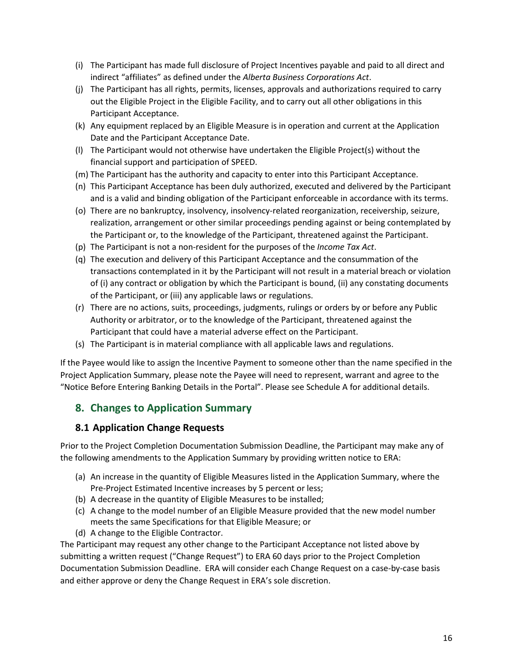- (i) The Participant has made full disclosure of Project Incentives payable and paid to all direct and indirect "affiliates" as defined under the *Alberta Business Corporations Act*.
- (j) The Participant has all rights, permits, licenses, approvals and authorizations required to carry out the Eligible Project in the Eligible Facility, and to carry out all other obligations in this Participant Acceptance.
- (k) Any equipment replaced by an Eligible Measure is in operation and current at the Application Date and the Participant Acceptance Date.
- (l) The Participant would not otherwise have undertaken the Eligible Project(s) without the financial support and participation of SPEED.
- (m) The Participant has the authority and capacity to enter into this Participant Acceptance.
- (n) This Participant Acceptance has been duly authorized, executed and delivered by the Participant and is a valid and binding obligation of the Participant enforceable in accordance with its terms.
- (o) There are no bankruptcy, insolvency, insolvency-related reorganization, receivership, seizure, realization, arrangement or other similar proceedings pending against or being contemplated by the Participant or, to the knowledge of the Participant, threatened against the Participant.
- (p) The Participant is not a non-resident for the purposes of the *Income Tax Act*.
- (q) The execution and delivery of this Participant Acceptance and the consummation of the transactions contemplated in it by the Participant will not result in a material breach or violation of (i) any contract or obligation by which the Participant is bound, (ii) any constating documents of the Participant, or (iii) any applicable laws or regulations.
- (r) There are no actions, suits, proceedings, judgments, rulings or orders by or before any Public Authority or arbitrator, or to the knowledge of the Participant, threatened against the Participant that could have a material adverse effect on the Participant.
- (s) The Participant is in material compliance with all applicable laws and regulations.

If the Payee would like to assign the Incentive Payment to someone other than the name specified in the Project Application Summary, please note the Payee will need to represent, warrant and agree to the "Notice Before Entering Banking Details in the Portal". Please see Schedule A for additional details.

# <span id="page-15-0"></span>**8. Changes to Application Summary**

#### <span id="page-15-1"></span>**8.1 Application Change Requests**

Prior to the Project Completion Documentation Submission Deadline, the Participant may make any of the following amendments to the Application Summary by providing written notice to ERA:

- (a) An increase in the quantity of Eligible Measures listed in the Application Summary, where the Pre-Project Estimated Incentive increases by 5 percent or less;
- (b) A decrease in the quantity of Eligible Measures to be installed;
- (c) A change to the model number of an Eligible Measure provided that the new model number meets the same Specifications for that Eligible Measure; or
- (d) A change to the Eligible Contractor.

The Participant may request any other change to the Participant Acceptance not listed above by submitting a written request ("Change Request") to ERA 60 days prior to the Project Completion Documentation Submission Deadline. ERA will consider each Change Request on a case-by-case basis and either approve or deny the Change Request in ERA's sole discretion.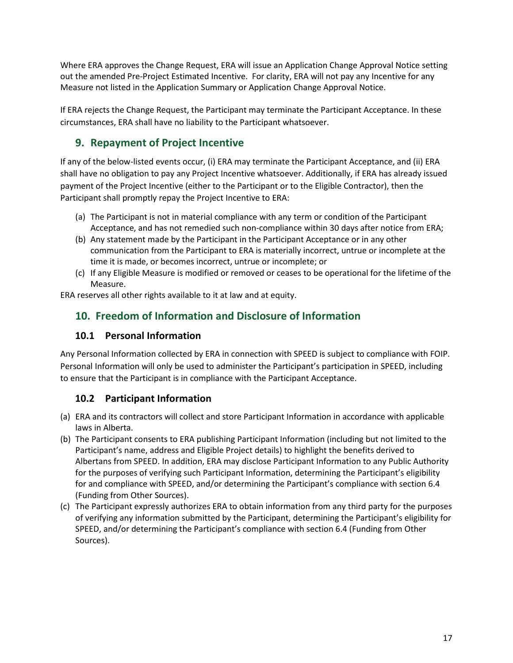Where ERA approves the Change Request, ERA will issue an Application Change Approval Notice setting out the amended Pre-Project Estimated Incentive. For clarity, ERA will not pay any Incentive for any Measure not listed in the Application Summary or Application Change Approval Notice.

If ERA rejects the Change Request, the Participant may terminate the Participant Acceptance. In these circumstances, ERA shall have no liability to the Participant whatsoever.

# <span id="page-16-0"></span>**9. Repayment of Project Incentive**

If any of the below-listed events occur, (i) ERA may terminate the Participant Acceptance, and (ii) ERA shall have no obligation to pay any Project Incentive whatsoever. Additionally, if ERA has already issued payment of the Project Incentive (either to the Participant or to the Eligible Contractor), then the Participant shall promptly repay the Project Incentive to ERA:

- (a) The Participant is not in material compliance with any term or condition of the Participant Acceptance, and has not remedied such non-compliance within 30 days after notice from ERA;
- (b) Any statement made by the Participant in the Participant Acceptance or in any other communication from the Participant to ERA is materially incorrect, untrue or incomplete at the time it is made, or becomes incorrect, untrue or incomplete; or
- (c) If any Eligible Measure is modified or removed or ceases to be operational for the lifetime of the Measure.

ERA reserves all other rights available to it at law and at equity.

# <span id="page-16-1"></span>**10. Freedom of Information and Disclosure of Information**

#### <span id="page-16-2"></span>**10.1 Personal Information**

Any Personal Information collected by ERA in connection with SPEED is subject to compliance with FOIP. Personal Information will only be used to administer the Participant's participation in SPEED, including to ensure that the Participant is in compliance with the Participant Acceptance.

#### <span id="page-16-3"></span>**10.2 Participant Information**

- (a) ERA and its contractors will collect and store Participant Information in accordance with applicable laws in Alberta.
- (b) The Participant consents to ERA publishing Participant Information (including but not limited to the Participant's name, address and Eligible Project details) to highlight the benefits derived to Albertans from SPEED. In addition, ERA may disclose Participant Information to any Public Authority for the purposes of verifying such Participant Information, determining the Participant's eligibility for and compliance with SPEED, and/or determining the Participant's compliance with section 6.4 (Funding from Other Sources).
- (c) The Participant expressly authorizes ERA to obtain information from any third party for the purposes of verifying any information submitted by the Participant, determining the Participant's eligibility for SPEED, and/or determining the Participant's compliance with section 6.4 (Funding from Other Sources).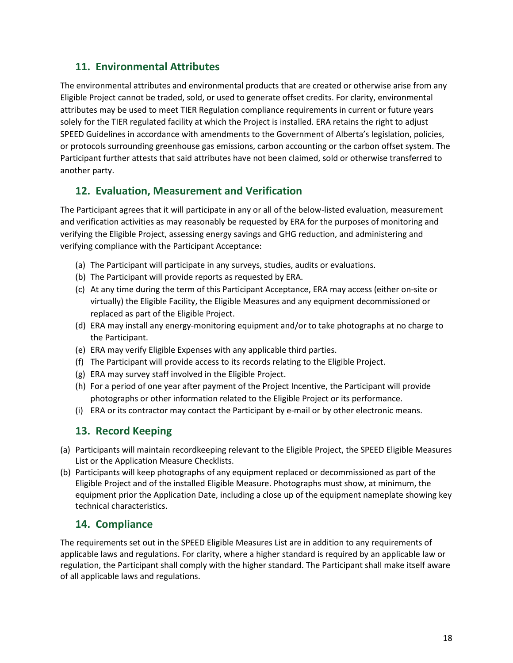#### <span id="page-17-0"></span>**11. Environmental Attributes**

The environmental attributes and environmental products that are created or otherwise arise from any Eligible Project cannot be traded, sold, or used to generate offset credits. For clarity, environmental attributes may be used to meet TIER Regulation compliance requirements in current or future years solely for the TIER regulated facility at which the Project is installed. ERA retains the right to adjust SPEED Guidelines in accordance with amendments to the Government of Alberta's legislation, policies, or protocols surrounding greenhouse gas emissions, carbon accounting or the carbon offset system. The Participant further attests that said attributes have not been claimed, sold or otherwise transferred to another party.

#### <span id="page-17-1"></span>**12. Evaluation, Measurement and Verification**

The Participant agrees that it will participate in any or all of the below-listed evaluation, measurement and verification activities as may reasonably be requested by ERA for the purposes of monitoring and verifying the Eligible Project, assessing energy savings and GHG reduction, and administering and verifying compliance with the Participant Acceptance:

- (a) The Participant will participate in any surveys, studies, audits or evaluations.
- (b) The Participant will provide reports as requested by ERA.
- (c) At any time during the term of this Participant Acceptance, ERA may access (either on-site or virtually) the Eligible Facility, the Eligible Measures and any equipment decommissioned or replaced as part of the Eligible Project.
- (d) ERA may install any energy-monitoring equipment and/or to take photographs at no charge to the Participant.
- (e) ERA may verify Eligible Expenses with any applicable third parties.
- (f) The Participant will provide access to its records relating to the Eligible Project.
- (g) ERA may survey staff involved in the Eligible Project.
- (h) For a period of one year after payment of the Project Incentive, the Participant will provide photographs or other information related to the Eligible Project or its performance.
- (i) ERA or its contractor may contact the Participant by e-mail or by other electronic means.

#### <span id="page-17-2"></span>**13. Record Keeping**

- (a) Participants will maintain recordkeeping relevant to the Eligible Project, the SPEED Eligible Measures List or the Application Measure Checklists.
- (b) Participants will keep photographs of any equipment replaced or decommissioned as part of the Eligible Project and of the installed Eligible Measure. Photographs must show, at minimum, the equipment prior the Application Date, including a close up of the equipment nameplate showing key technical characteristics.

#### <span id="page-17-3"></span>**14. Compliance**

The requirements set out in the SPEED Eligible Measures List are in addition to any requirements of applicable laws and regulations. For clarity, where a higher standard is required by an applicable law or regulation, the Participant shall comply with the higher standard. The Participant shall make itself aware of all applicable laws and regulations.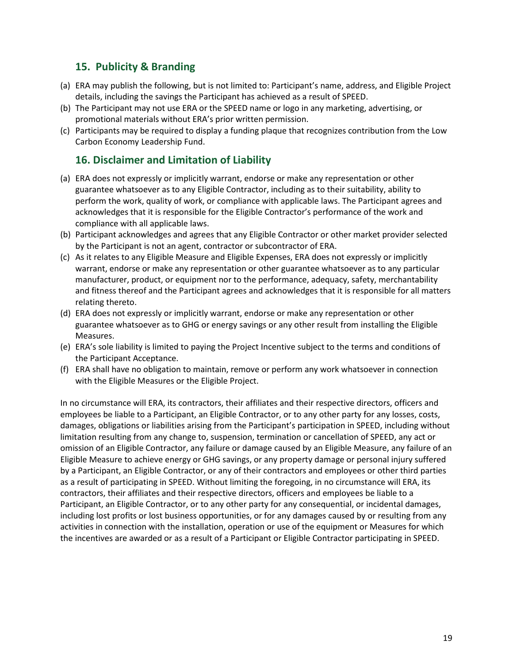#### <span id="page-18-0"></span>**15. Publicity & Branding**

- (a) ERA may publish the following, but is not limited to: Participant's name, address, and Eligible Project details, including the savings the Participant has achieved as a result of SPEED.
- (b) The Participant may not use ERA or the SPEED name or logo in any marketing, advertising, or promotional materials without ERA's prior written permission.
- (c) Participants may be required to display a funding plaque that recognizes contribution from the Low Carbon Economy Leadership Fund.

#### <span id="page-18-1"></span>**16. Disclaimer and Limitation of Liability**

- (a) ERA does not expressly or implicitly warrant, endorse or make any representation or other guarantee whatsoever as to any Eligible Contractor, including as to their suitability, ability to perform the work, quality of work, or compliance with applicable laws. The Participant agrees and acknowledges that it is responsible for the Eligible Contractor's performance of the work and compliance with all applicable laws.
- (b) Participant acknowledges and agrees that any Eligible Contractor or other market provider selected by the Participant is not an agent, contractor or subcontractor of ERA.
- (c) As it relates to any Eligible Measure and Eligible Expenses, ERA does not expressly or implicitly warrant, endorse or make any representation or other guarantee whatsoever as to any particular manufacturer, product, or equipment nor to the performance, adequacy, safety, merchantability and fitness thereof and the Participant agrees and acknowledges that it is responsible for all matters relating thereto.
- (d) ERA does not expressly or implicitly warrant, endorse or make any representation or other guarantee whatsoever as to GHG or energy savings or any other result from installing the Eligible Measures.
- (e) ERA's sole liability is limited to paying the Project Incentive subject to the terms and conditions of the Participant Acceptance.
- (f) ERA shall have no obligation to maintain, remove or perform any work whatsoever in connection with the Eligible Measures or the Eligible Project.

In no circumstance will ERA, its contractors, their affiliates and their respective directors, officers and employees be liable to a Participant, an Eligible Contractor, or to any other party for any losses, costs, damages, obligations or liabilities arising from the Participant's participation in SPEED, including without limitation resulting from any change to, suspension, termination or cancellation of SPEED, any act or omission of an Eligible Contractor, any failure or damage caused by an Eligible Measure, any failure of an Eligible Measure to achieve energy or GHG savings, or any property damage or personal injury suffered by a Participant, an Eligible Contractor, or any of their contractors and employees or other third parties as a result of participating in SPEED. Without limiting the foregoing, in no circumstance will ERA, its contractors, their affiliates and their respective directors, officers and employees be liable to a Participant, an Eligible Contractor, or to any other party for any consequential, or incidental damages, including lost profits or lost business opportunities, or for any damages caused by or resulting from any activities in connection with the installation, operation or use of the equipment or Measures for which the incentives are awarded or as a result of a Participant or Eligible Contractor participating in SPEED.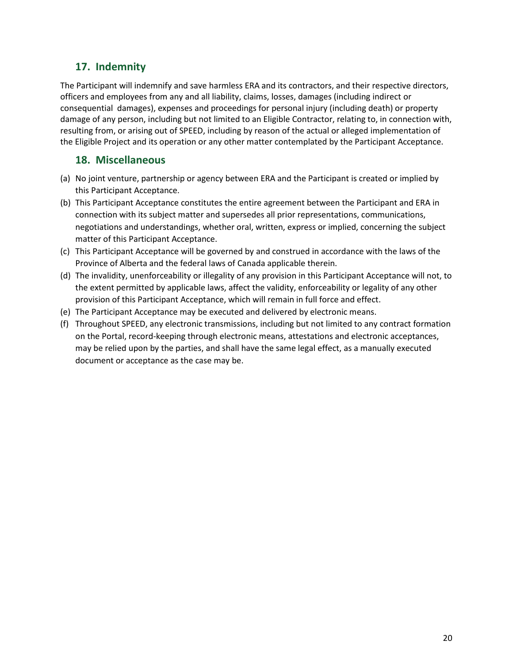# <span id="page-19-0"></span>**17. Indemnity**

The Participant will indemnify and save harmless ERA and its contractors, and their respective directors, officers and employees from any and all liability, claims, losses, damages (including indirect or consequential damages), expenses and proceedings for personal injury (including death) or property damage of any person, including but not limited to an Eligible Contractor, relating to, in connection with, resulting from, or arising out of SPEED, including by reason of the actual or alleged implementation of the Eligible Project and its operation or any other matter contemplated by the Participant Acceptance.

#### <span id="page-19-1"></span>**18. Miscellaneous**

- (a) No joint venture, partnership or agency between ERA and the Participant is created or implied by this Participant Acceptance.
- (b) This Participant Acceptance constitutes the entire agreement between the Participant and ERA in connection with its subject matter and supersedes all prior representations, communications, negotiations and understandings, whether oral, written, express or implied, concerning the subject matter of this Participant Acceptance.
- (c) This Participant Acceptance will be governed by and construed in accordance with the laws of the Province of Alberta and the federal laws of Canada applicable therein.
- (d) The invalidity, unenforceability or illegality of any provision in this Participant Acceptance will not, to the extent permitted by applicable laws, affect the validity, enforceability or legality of any other provision of this Participant Acceptance, which will remain in full force and effect.
- (e) The Participant Acceptance may be executed and delivered by electronic means.
- (f) Throughout SPEED, any electronic transmissions, including but not limited to any contract formation on the Portal, record-keeping through electronic means, attestations and electronic acceptances, may be relied upon by the parties, and shall have the same legal effect, as a manually executed document or acceptance as the case may be.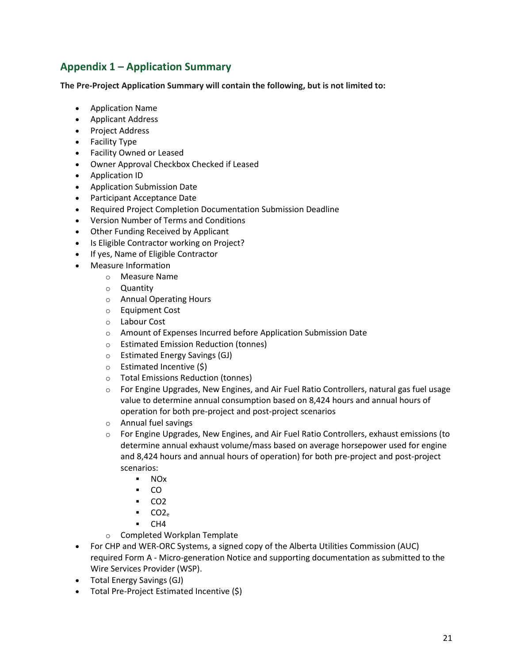# <span id="page-20-0"></span>**Appendix 1 – Application Summary**

**The Pre-Project Application Summary will contain the following, but is not limited to:**

- Application Name
- Applicant Address
- Project Address
- Facility Type
- Facility Owned or Leased
- Owner Approval Checkbox Checked if Leased
- Application ID
- Application Submission Date
- Participant Acceptance Date
- Required Project Completion Documentation Submission Deadline
- Version Number of Terms and Conditions
- Other Funding Received by Applicant
- Is Eligible Contractor working on Project?
- If yes, Name of Eligible Contractor
- Measure Information
	- o Measure Name
	- o Quantity
	- o Annual Operating Hours
	- o Equipment Cost
	- o Labour Cost
	- o Amount of Expenses Incurred before Application Submission Date
	- o Estimated Emission Reduction (tonnes)
	- o Estimated Energy Savings (GJ)
	- o Estimated Incentive (\$)
	- o Total Emissions Reduction (tonnes)
	- o For Engine Upgrades, New Engines, and Air Fuel Ratio Controllers, natural gas fuel usage value to determine annual consumption based on 8,424 hours and annual hours of operation for both pre-project and post-project scenarios
	- o Annual fuel savings
	- $\circ$  For Engine Upgrades, New Engines, and Air Fuel Ratio Controllers, exhaust emissions (to determine annual exhaust volume/mass based on average horsepower used for engine and 8,424 hours and annual hours of operation) for both pre-project and post-project scenarios:
		- NOx
		- $\overline{\phantom{a}}$  CO
		- $CO2$
		- $CO2<sub>e</sub>$
		- $-$  CH4
	- o Completed Workplan Template
- For CHP and WER-ORC Systems, a signed copy of the Alberta Utilities Commission (AUC) required Form A - Micro-generation Notice and supporting documentation as submitted to the Wire Services Provider (WSP).
- Total Energy Savings (GJ)
- Total Pre-Project Estimated Incentive (\$)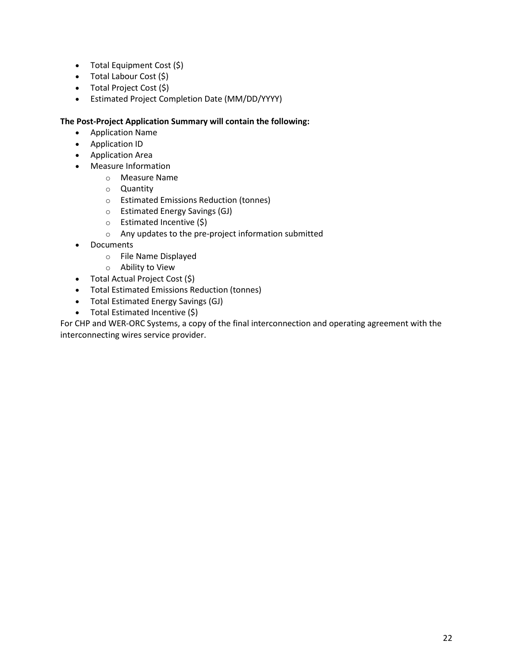- Total Equipment Cost (\$)
- Total Labour Cost (\$)
- Total Project Cost (\$)
- Estimated Project Completion Date (MM/DD/YYYY)

#### **The Post-Project Application Summary will contain the following:**

- Application Name
- Application ID
- Application Area
- Measure Information
	- o Measure Name
	- o Quantity
	- o Estimated Emissions Reduction (tonnes)
	- o Estimated Energy Savings (GJ)
	- o Estimated Incentive (\$)
	- o Any updates to the pre-project information submitted
- Documents
	- o File Name Displayed
	- o Ability to View
- Total Actual Project Cost (\$)
- Total Estimated Emissions Reduction (tonnes)
- Total Estimated Energy Savings (GJ)
- Total Estimated Incentive (\$)

For CHP and WER-ORC Systems, a copy of the final interconnection and operating agreement with the interconnecting wires service provider.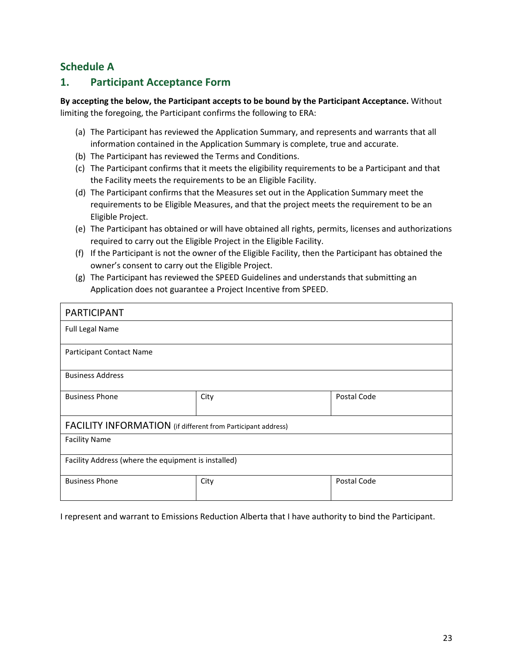#### <span id="page-22-0"></span>**Schedule A**

#### <span id="page-22-1"></span>**1. Participant Acceptance Form**

**By accepting the below, the Participant accepts to be bound by the Participant Acceptance.** Without limiting the foregoing, the Participant confirms the following to ERA:

- (a) The Participant has reviewed the Application Summary, and represents and warrants that all information contained in the Application Summary is complete, true and accurate.
- (b) The Participant has reviewed the Terms and Conditions.
- (c) The Participant confirms that it meets the eligibility requirements to be a Participant and that the Facility meets the requirements to be an Eligible Facility.
- (d) The Participant confirms that the Measures set out in the Application Summary meet the requirements to be Eligible Measures, and that the project meets the requirement to be an Eligible Project.
- (e) The Participant has obtained or will have obtained all rights, permits, licenses and authorizations required to carry out the Eligible Project in the Eligible Facility.
- (f) If the Participant is not the owner of the Eligible Facility, then the Participant has obtained the owner's consent to carry out the Eligible Project.
- (g) The Participant has reviewed the SPEED Guidelines and understands that submitting an Application does not guarantee a Project Incentive from SPEED.

| <b>PARTICIPANT</b>                                           |      |             |  |  |  |  |  |
|--------------------------------------------------------------|------|-------------|--|--|--|--|--|
| <b>Full Legal Name</b>                                       |      |             |  |  |  |  |  |
| Participant Contact Name                                     |      |             |  |  |  |  |  |
| <b>Business Address</b>                                      |      |             |  |  |  |  |  |
| <b>Business Phone</b>                                        | City | Postal Code |  |  |  |  |  |
| FACILITY INFORMATION (if different from Participant address) |      |             |  |  |  |  |  |
| <b>Facility Name</b>                                         |      |             |  |  |  |  |  |
| Facility Address (where the equipment is installed)          |      |             |  |  |  |  |  |
| <b>Business Phone</b>                                        | City | Postal Code |  |  |  |  |  |

I represent and warrant to Emissions Reduction Alberta that I have authority to bind the Participant.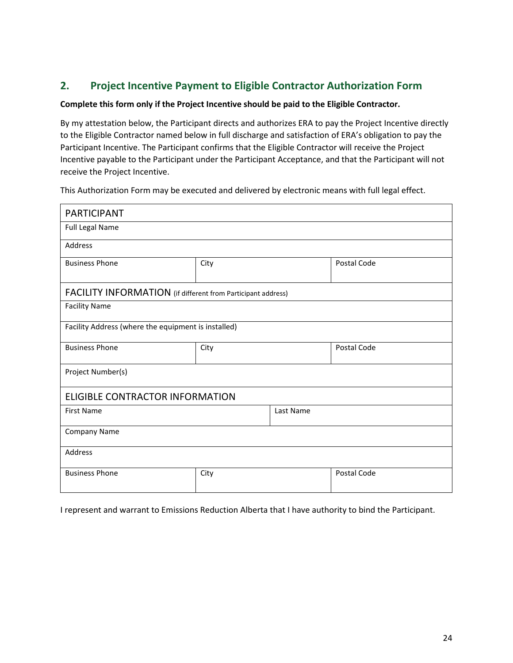#### <span id="page-23-0"></span>**2. Project Incentive Payment to Eligible Contractor Authorization Form**

#### **Complete this form only if the Project Incentive should be paid to the Eligible Contractor.**

By my attestation below, the Participant directs and authorizes ERA to pay the Project Incentive directly to the Eligible Contractor named below in full discharge and satisfaction of ERA's obligation to pay the Participant Incentive. The Participant confirms that the Eligible Contractor will receive the Project Incentive payable to the Participant under the Participant Acceptance, and that the Participant will not receive the Project Incentive.

This Authorization Form may be executed and delivered by electronic means with full legal effect.

| <b>PARTICIPANT</b>                                           |      |           |             |  |  |  |  |  |
|--------------------------------------------------------------|------|-----------|-------------|--|--|--|--|--|
| Full Legal Name                                              |      |           |             |  |  |  |  |  |
| Address                                                      |      |           |             |  |  |  |  |  |
| <b>Business Phone</b>                                        | City |           | Postal Code |  |  |  |  |  |
| FACILITY INFORMATION (if different from Participant address) |      |           |             |  |  |  |  |  |
| <b>Facility Name</b>                                         |      |           |             |  |  |  |  |  |
| Facility Address (where the equipment is installed)          |      |           |             |  |  |  |  |  |
| <b>Business Phone</b>                                        | City |           | Postal Code |  |  |  |  |  |
| Project Number(s)                                            |      |           |             |  |  |  |  |  |
| <b>ELIGIBLE CONTRACTOR INFORMATION</b>                       |      |           |             |  |  |  |  |  |
| <b>First Name</b>                                            |      | Last Name |             |  |  |  |  |  |
| Company Name                                                 |      |           |             |  |  |  |  |  |
| Address                                                      |      |           |             |  |  |  |  |  |
| <b>Business Phone</b>                                        | City |           | Postal Code |  |  |  |  |  |

I represent and warrant to Emissions Reduction Alberta that I have authority to bind the Participant.